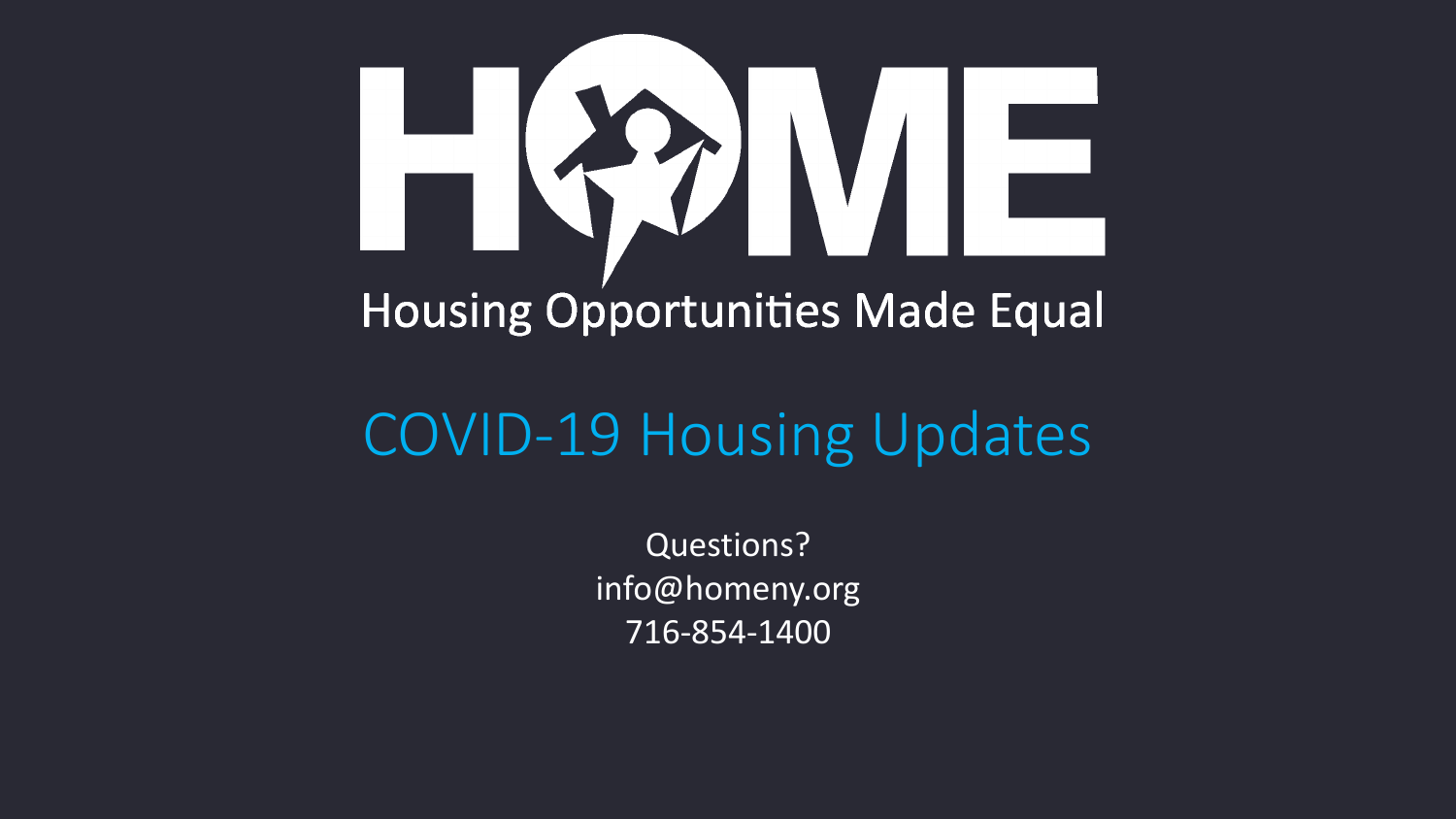

### COVID-19 Housing Updates

Questions? info@homeny.org 716-854-1400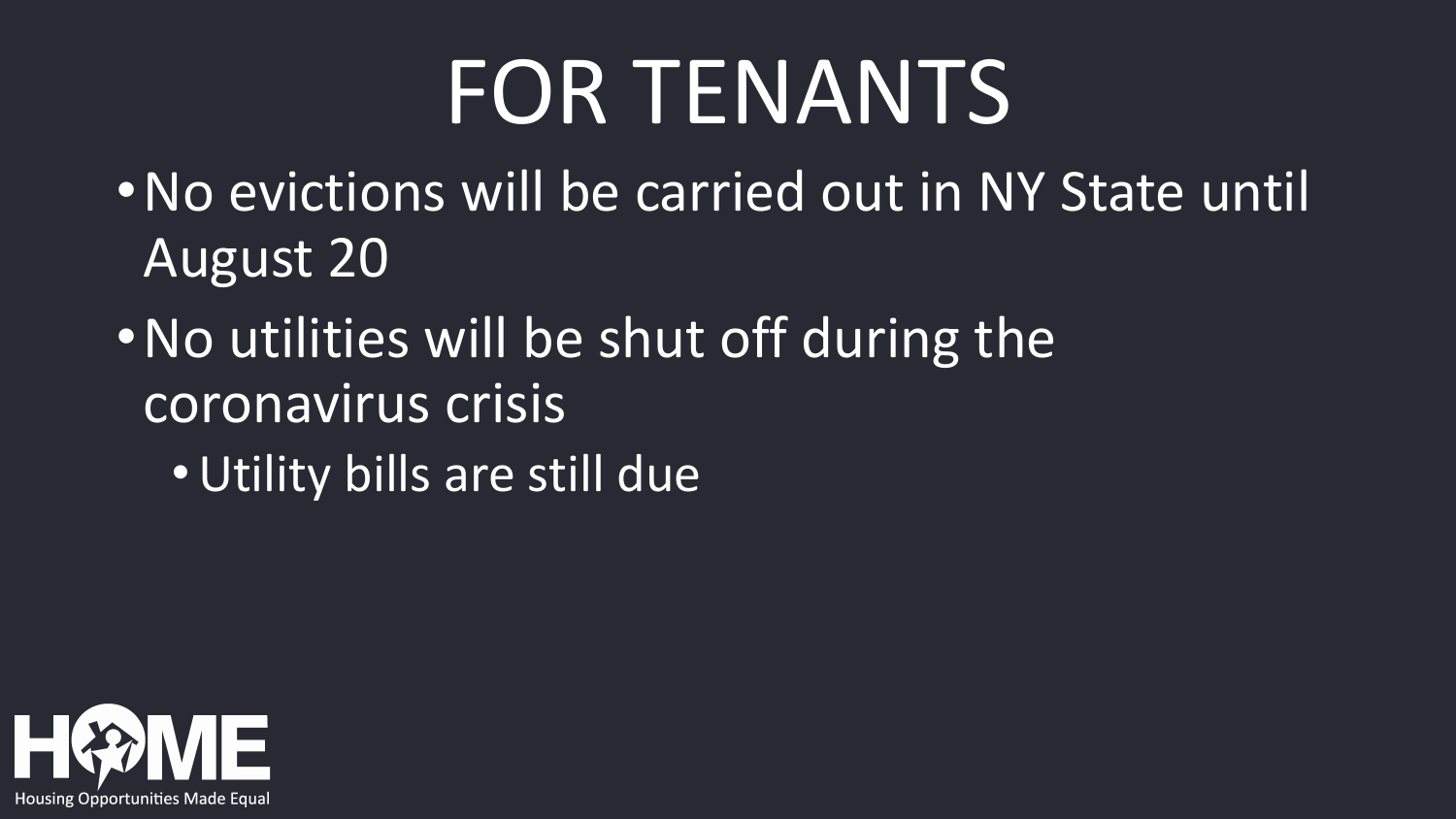### FOR TENANTS

- •No evictions will be carried out in NY State until August 20
- •No utilities will be shut off during the coronavirus crisis
	- •Utility bills are still due

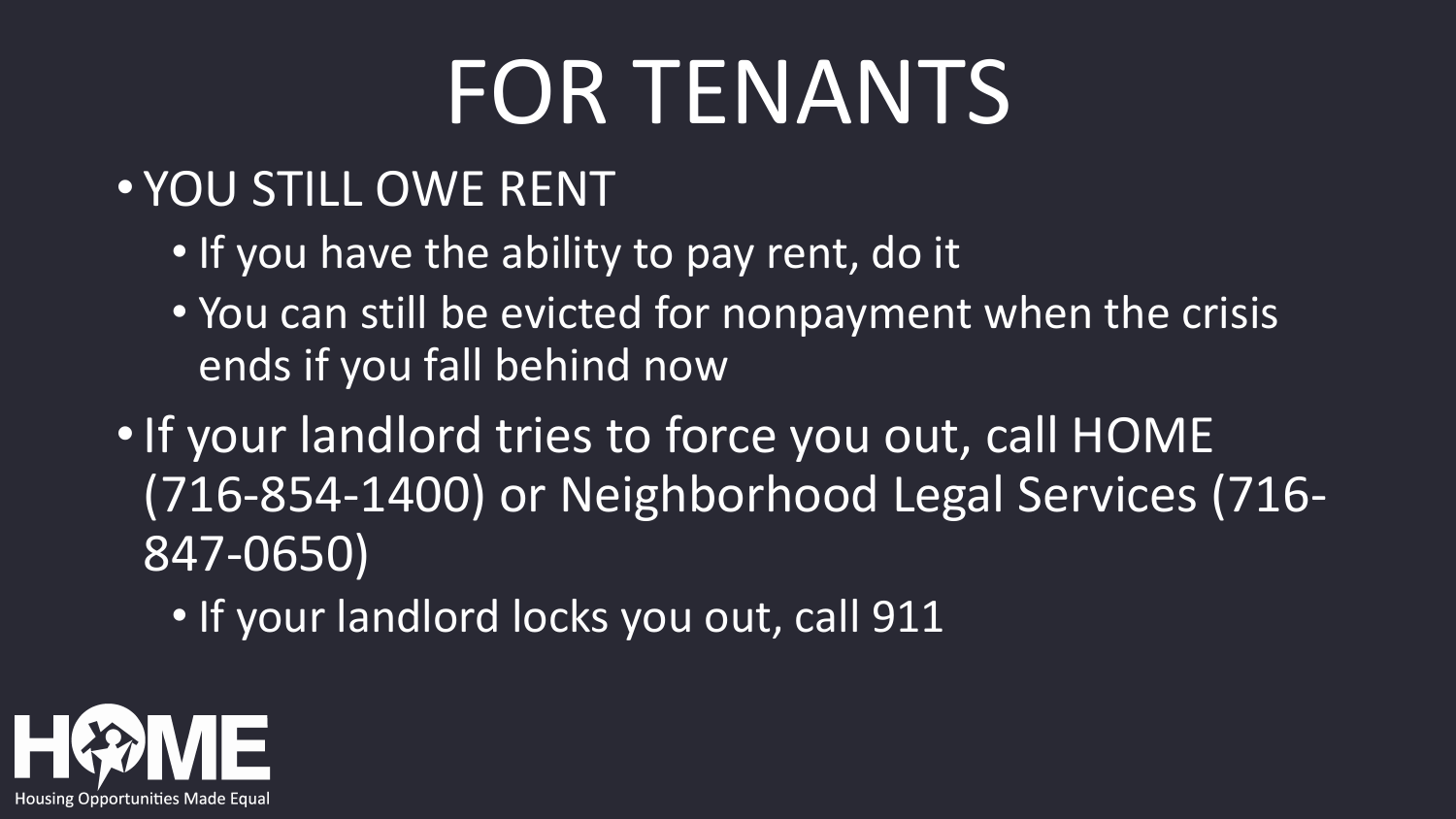## FOR TENANTS

#### • YOU STILL OWE RENT

- If you have the ability to pay rent, do it
- You can still be evicted for nonpayment when the crisis ends if you fall behind now
- If your landlord tries to force you out, call HOME (716-854-1400) or Neighborhood Legal Services (716- 847-0650)

• If your landlord locks you out, call 911

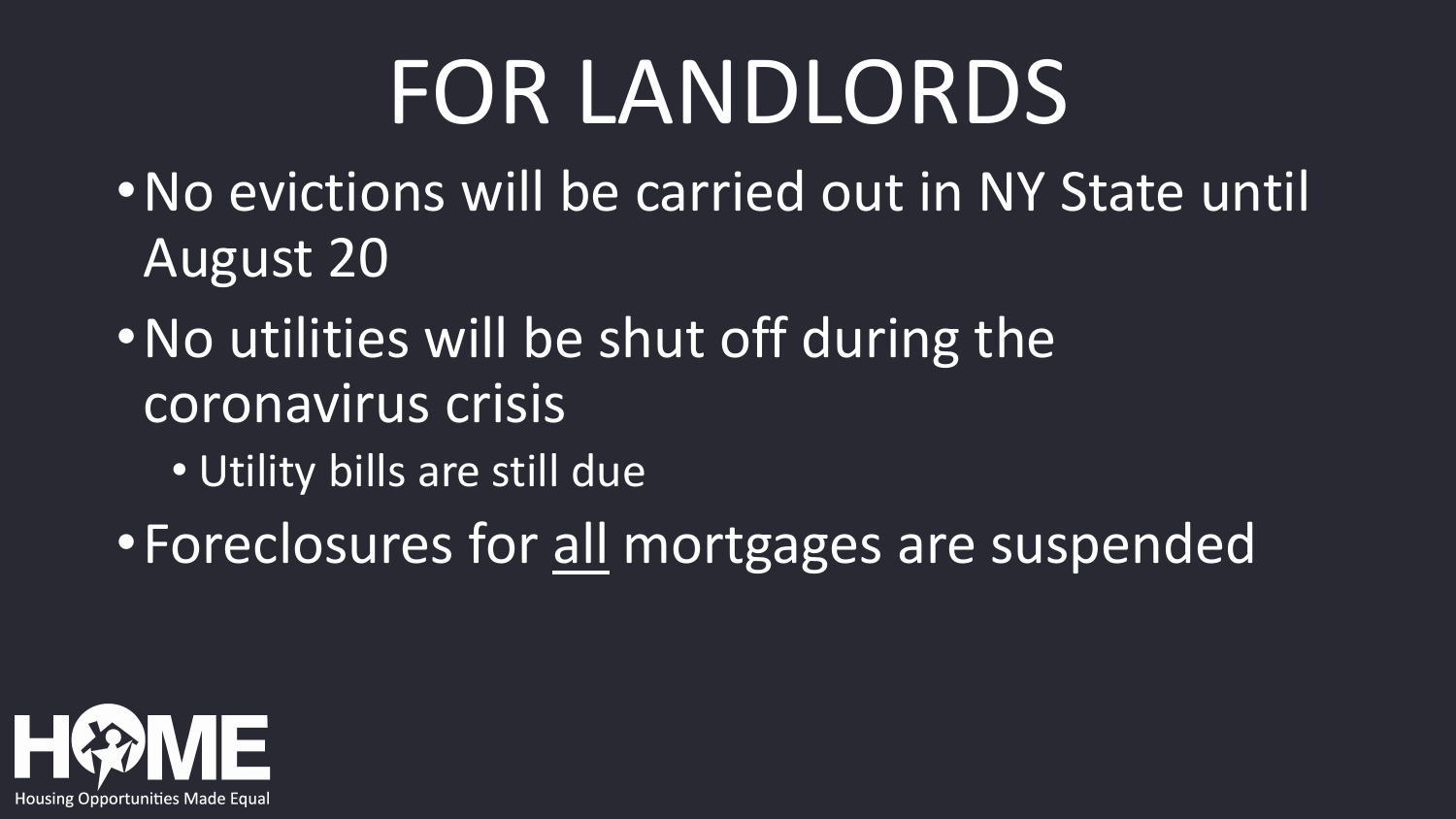## FOR LANDLORDS

- •No evictions will be carried out in NY State until August 20
- •No utilities will be shut off during the coronavirus crisis
	- Utility bills are still due
- •Foreclosures for all mortgages are suspended

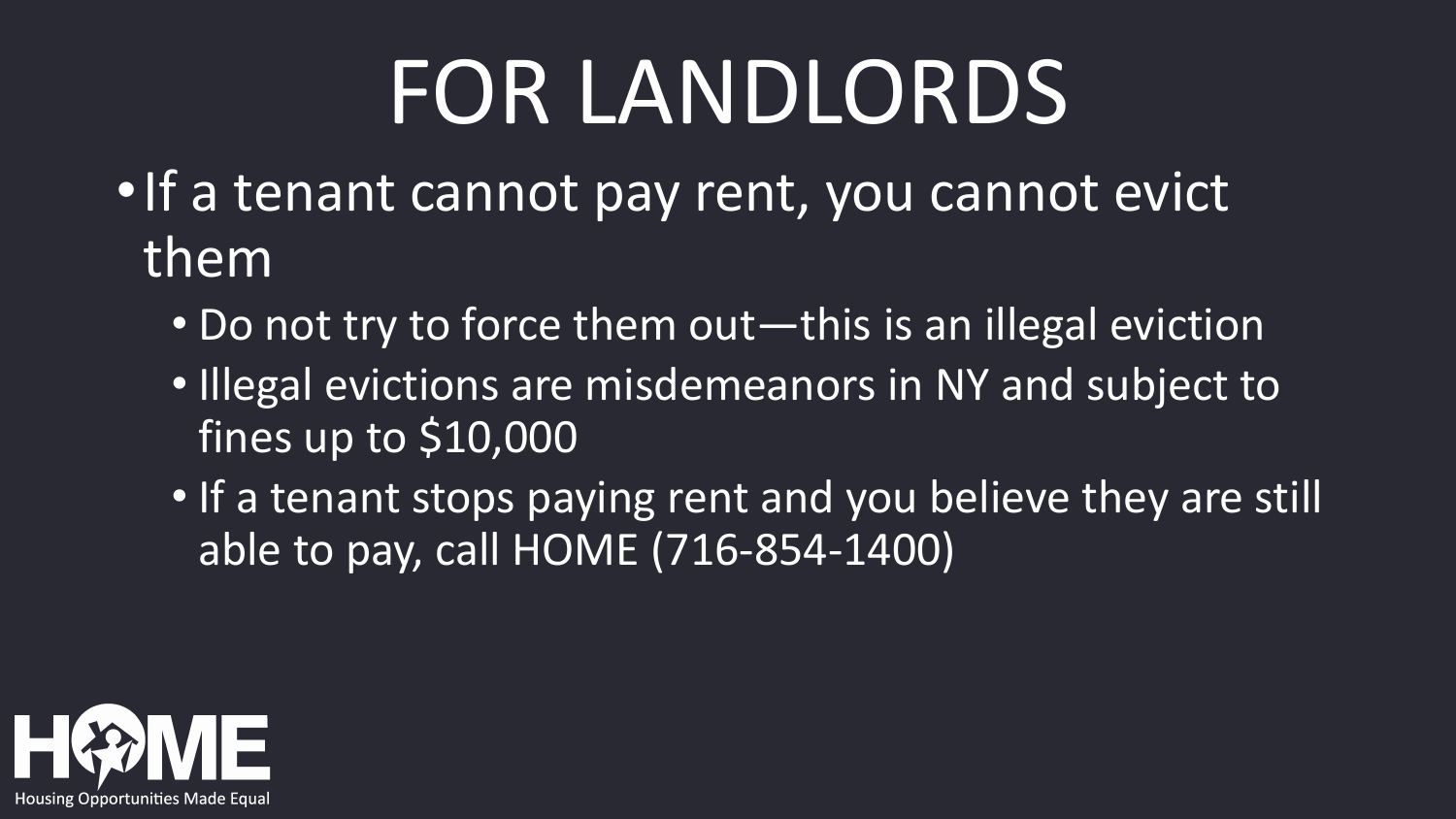# FOR LANDLORDS

- •If a tenant cannot pay rent, you cannot evict them
	- Do not try to force them out—this is an illegal eviction
	- Illegal evictions are misdemeanors in NY and subject to fines up to \$10,000
	- If a tenant stops paying rent and you believe they are still able to pay, call HOME (716-854-1400)